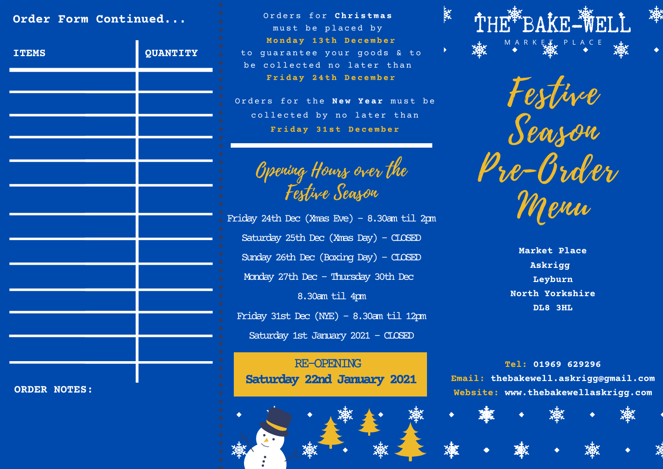## **Order Form Continued...**

| <b>ITEMS</b>        | $\bullet$<br>QUANTITY<br>$\bullet$<br>$\bullet$ |
|---------------------|-------------------------------------------------|
|                     | $\bullet$<br>$\bullet$<br>$\bullet$             |
|                     | $\bullet$<br>$\bullet$<br>$\bullet$             |
|                     | $\bullet$<br>$\bullet$<br>$\bullet$             |
|                     | $\bullet$<br>$\bullet$<br>$\bullet$             |
|                     | $\bullet$<br>$\bullet$<br>$\bullet$             |
|                     | $\bullet$<br>$\bullet$<br>$\bullet$             |
|                     | $\bullet$<br>$\bullet$<br>$\bullet$             |
|                     | $\bullet$<br>$\bullet$<br>$\bullet$             |
|                     | $\bullet$<br>$\bullet$<br>$\bullet$             |
|                     | $\bullet$<br>$\bullet$<br>$\bullet$             |
|                     | $\bullet$<br>$\bullet$<br>$\bullet$             |
|                     | $\bullet$<br>$\bullet$<br>$\bullet$             |
| <b>ORDER NOTES:</b> | $\bullet$<br>$\bullet$<br>$\bullet$             |

O r d e r s f o r **C h r i s t m a s** must be placed by **M o n d a y 1 3 t h D e c e m b e r** to quarantee your goods & to be collected no later than **F r i d a y 2 4 t h D e c e m b e r**

Orders for the **New Year** must be collected by no later than **F r i d a y 3 1 s t D e c e m b e r**

Opening Hours over the Festive Season

Friday 24th Dec (Xmas Eve) - 8.30am til 2pm Saturday 25th Dec (Xmas Day) - CLOSED Sunday 26th Dec (Boxing Day) - CLOSED Monday 27th Dec - Thursday 30th Dec 8.30am til 4pm Friday 31st Dec (NYE) - 8.30am til 12pm Saturday 1st January 2021 - CLOSED

RE-OPENING **Saturday 22nd January 2021**





Festive Season Pre-Order Menu

> **Market Place Askrigg Leyburn North Yorkshire DL8 3HL**

**Tel: 01969 629296 Email: thebakewell.askrigg@gmail.com Website: www.thebakewellaskrigg.com**